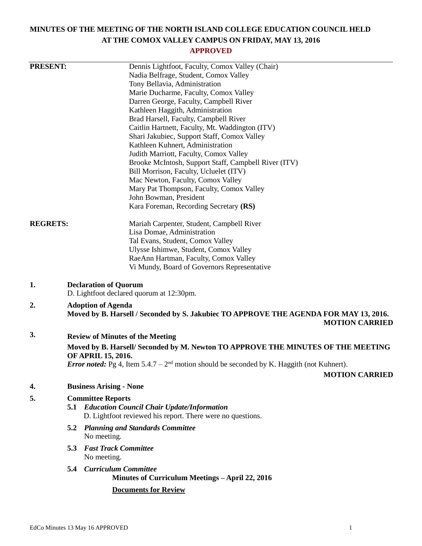# **MINUTES OF THE MEETING OF THE NORTH ISLAND COLLEGE EDUCATION COUNCIL HELD AT THE COMOX VALLEY CAMPUS ON FRIDAY, MAY 13, 2016**

## **APPROVED**

| <b>PRESENT:</b> |                                                                                 | Dennis Lightfoot, Faculty, Comox Valley (Chair)                                                        |                       |
|-----------------|---------------------------------------------------------------------------------|--------------------------------------------------------------------------------------------------------|-----------------------|
|                 |                                                                                 | Nadia Belfrage, Student, Comox Valley                                                                  |                       |
|                 |                                                                                 | Tony Bellavia, Administration                                                                          |                       |
|                 |                                                                                 | Marie Ducharme, Faculty, Comox Valley                                                                  |                       |
|                 |                                                                                 | Darren George, Faculty, Campbell River                                                                 |                       |
|                 |                                                                                 | Kathleen Haggith, Administration                                                                       |                       |
|                 |                                                                                 | Brad Harsell, Faculty, Campbell River                                                                  |                       |
|                 |                                                                                 | Caitlin Hartnett, Faculty, Mt. Waddington (ITV)                                                        |                       |
|                 |                                                                                 | Shari Jakubiec, Support Staff, Comox Valley                                                            |                       |
|                 |                                                                                 | Kathleen Kuhnert, Administration                                                                       |                       |
|                 |                                                                                 | Judith Marriott, Faculty, Comox Valley                                                                 |                       |
|                 |                                                                                 | Brooke McIntosh, Support Staff, Campbell River (ITV)                                                   |                       |
|                 |                                                                                 | Bill Morrison, Faculty, Ucluelet (ITV)                                                                 |                       |
|                 |                                                                                 | Mac Newton, Faculty, Comox Valley                                                                      |                       |
|                 |                                                                                 | Mary Pat Thompson, Faculty, Comox Valley                                                               |                       |
|                 |                                                                                 | John Bowman, President                                                                                 |                       |
|                 |                                                                                 | Kara Foreman, Recording Secretary (RS)                                                                 |                       |
| <b>REGRETS:</b> |                                                                                 | Mariah Carpenter, Student, Campbell River                                                              |                       |
|                 |                                                                                 | Lisa Domae, Administration                                                                             |                       |
|                 |                                                                                 | Tal Evans, Student, Comox Valley                                                                       |                       |
|                 |                                                                                 | Ulysse Ishimwe, Student, Comox Valley                                                                  |                       |
|                 |                                                                                 | RaeAnn Hartman, Faculty, Comox Valley                                                                  |                       |
|                 |                                                                                 | Vi Mundy, Board of Governors Representative                                                            |                       |
| 1.              | <b>Declaration of Quorum</b>                                                    |                                                                                                        |                       |
|                 |                                                                                 | D. Lightfoot declared quorum at 12:30pm.                                                               |                       |
|                 |                                                                                 |                                                                                                        |                       |
| 2.              | <b>Adoption of Agenda</b>                                                       | Moved by B. Harsell / Seconded by S. Jakubiec TO APPROVE THE AGENDA FOR MAY 13, 2016.                  |                       |
|                 |                                                                                 |                                                                                                        | <b>MOTION CARRIED</b> |
| 3.              | <b>Review of Minutes of the Meeting</b>                                         |                                                                                                        |                       |
|                 | Moved by B. Harsell/Seconded by M. Newton TO APPROVE THE MINUTES OF THE MEETING |                                                                                                        |                       |
|                 | <b>OF APRIL 15, 2016.</b>                                                       |                                                                                                        |                       |
|                 |                                                                                 | <i>Error noted:</i> Pg 4, Item $5.4.7 - 2^{nd}$ motion should be seconded by K. Haggith (not Kuhnert). |                       |
|                 |                                                                                 |                                                                                                        | <b>MOTION CARRIED</b> |
| 4.              | <b>Business Arising - None</b>                                                  |                                                                                                        |                       |
| 5.              | <b>Committee Reports</b>                                                        |                                                                                                        |                       |
|                 | 5.1                                                                             | <b>Education Council Chair Update/Information</b>                                                      |                       |
|                 |                                                                                 | D. Lightfoot reviewed his report. There were no questions.                                             |                       |
|                 |                                                                                 | <b>5.2 Planning and Standards Committee</b>                                                            |                       |
|                 | No meeting.                                                                     |                                                                                                        |                       |
|                 | <b>Fast Track Committee</b><br>5.3                                              |                                                                                                        |                       |
|                 | No meeting.                                                                     |                                                                                                        |                       |
|                 | 5.4 Curriculum Committee                                                        |                                                                                                        |                       |
|                 |                                                                                 | Minutes of Curriculum Meetings - April 22, 2016                                                        |                       |
|                 |                                                                                 | <b>Documents for Review</b>                                                                            |                       |
|                 |                                                                                 |                                                                                                        |                       |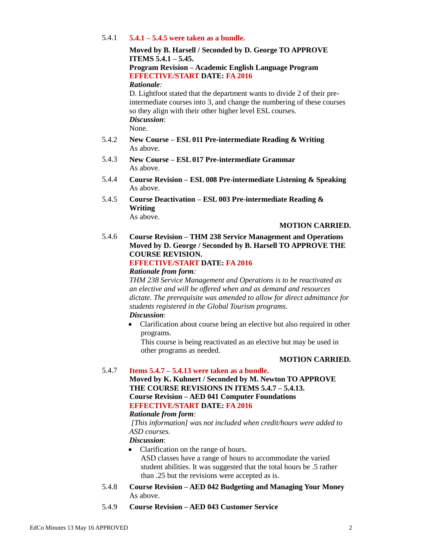## 5.4.1 **5.4.1 – 5.4.5 were taken as a bundle.**

**Moved by B. Harsell / Seconded by D. George TO APPROVE ITEMS 5.4.1 – 5.45.**

# **Program Revision – Academic English Language Program EFFECTIVE/START DATE: FA 2016**

*Rationale:*

D. Lightfoot stated that the department wants to divide 2 of their preintermediate courses into 3, and change the numbering of these courses so they align with their other higher level ESL courses. *Discussion*: None.

- 5.4.2 **New Course – ESL 011 Pre-intermediate Reading & Writing** As above.
- 5.4.3 **New Course – ESL 017 Pre-intermediate Grammar** As above.
- 5.4.4 **Course Revision – ESL 008 Pre-intermediate Listening & Speaking** As above.
- 5.4.5 **Course Deactivation – ESL 003 Pre-intermediate Reading & Writing** As above.

## **MOTION CARRIED.**

5.4.6 **Course Revision – THM 238 Service Management and Operations Moved by D. George / Seconded by B. Harsell TO APPROVE THE COURSE REVISION.**

## **EFFECTIVE/START DATE: FA 2016**

*Rationale from form:*

*THM 238 Service Management and Operations is to be reactivated as an elective and will be offered when and as demand and resources dictate. The prerequisite was amended to allow for direct admittance for students registered in the Global Tourism programs. Discussion*:

 Clarification about course being an elective but also required in other programs.

This course is being reactivated as an elective but may be used in other programs as needed.

## **MOTION CARRIED.**

## 5.4.7 **Items 5.4.7 – 5.4.13 were taken as a bundle.**

**Moved by K. Kuhnert / Seconded by M. Newton TO APPROVE THE COURSE REVISIONS IN ITEMS 5.4.7 – 5.4.13. Course Revision – AED 041 Computer Foundations EFFECTIVE/START DATE: FA 2016**

## *Rationale from form:*

*[This information] was not included when credit/hours were added to ASD courses.*

- *Discussion*:
- Clarification on the range of hours. ASD classes have a range of hours to accommodate the varied student abilities. It was suggested that the total hours be .5 rather than .25 but the revisions were accepted as is.
- 5.4.8 **Course Revision – AED 042 Budgeting and Managing Your Money** As above.
- 5.4.9 **Course Revision – AED 043 Customer Service**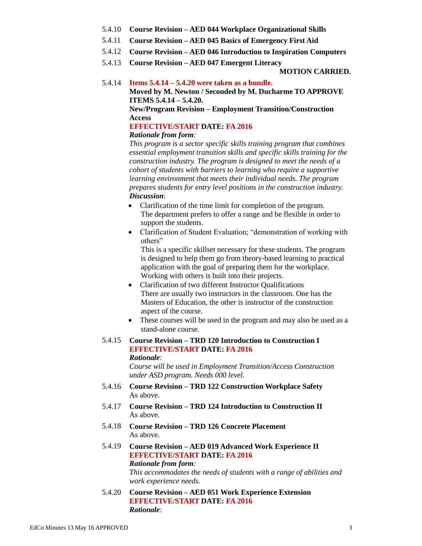- 5.4.10 **Course Revision – AED 044 Workplace Organizational Skills**
- 5.4.11 **Course Revision – AED 045 Basics of Emergency First Aid**
- 5.4.12 **Course Revision – AED 046 Introduction to Inspiration Computers**
- 5.4.13 **Course Revision – AED 047 Emergent Literacy**

**MOTION CARRIED.**

#### 5.4.14 **Items 5.4.14 – 5.4.20 were taken as a bundle.**

**Moved by M. Newton / Seconded by M. Ducharme TO APPROVE ITEMS 5.4.14 – 5.4.20.**

**New/Program Revision – Employment Transition/Construction Access**

## **EFFECTIVE/START DATE: FA 2016**

## *Rationale from form:*

*This program is a sector specific skills training program that combines essential employment transition skills and specific skills training for the construction industry. The program is designed to meet the needs of a cohort of students with barriers to learning who require a supportive learning environment that meets their individual needs. The program prepares students for entry level positions in the construction industry. Discussion*:

- Clarification of the time limit for completion of the program. The department prefers to offer a range and be flexible in order to support the students.
- Clarification of Student Evaluation; "demonstration of working with others"

This is a specific skillset necessary for these students. The program is designed to help them go from theory-based learning to practical application with the goal of preparing them for the workplace. Working with others is built into their projects.

- Clarification of two different Instructor Qualifications There are usually two instructors in the classroom. One has the Masters of Education, the other is instructor of the construction aspect of the course.
- These courses will be used in the program and may also be used as a stand-alone course.

#### 5.4.15 **Course Revision – TRD 120 Introduction to Construction I EFFECTIVE/START DATE: FA 2016** *Rationale:*

*Course will be used in Employment Transition/Access Construction under ASD program. Needs 000 level.*

- 5.4.16 **Course Revision – TRD 122 Construction Workplace Safety** As above.
- 5.4.17 **Course Revision – TRD 124 Introduction to Construction II** As above.
- 5.4.18 **Course Revision – TRD 126 Concrete Placement** As above.
- 5.4.19 **Course Revision – AED 019 Advanced Work Experience II EFFECTIVE/START DATE: FA 2016** *Rationale from form: This accommodates the needs of students with a range of abilities and work experience needs.*
- 5.4.20 **Course Revision – AED 051 Work Experience Extension EFFECTIVE/START DATE: FA 2016** *Rationale:*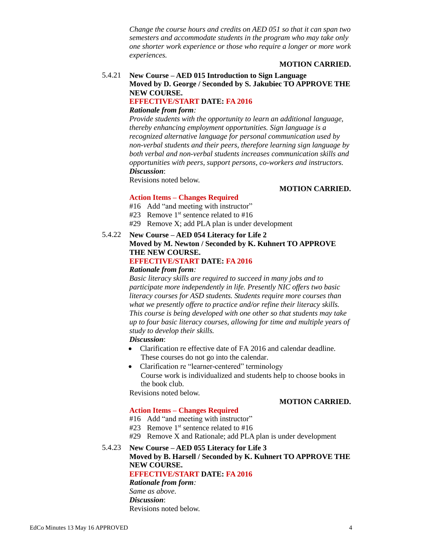*Change the course hours and credits on AED 051 so that it can span two semesters and accommodate students in the program who may take only one shorter work experience or those who require a longer or more work experiences.*

## **MOTION CARRIED.**

## 5.4.21 **New Course – AED 015 Introduction to Sign Language Moved by D. George / Seconded by S. Jakubiec TO APPROVE THE NEW COURSE. EFFECTIVE/START DATE: FA 2016**

#### *Rationale from form:*

*Provide students with the opportunity to learn an additional language, thereby enhancing employment opportunities. Sign language is a recognized alternative language for personal communication used by non-verbal students and their peers, therefore learning sign language by both verbal and non-verbal students increases communication skills and opportunities with peers, support persons, co-workers and instructors. Discussion*:

Revisions noted below.

#### **MOTION CARRIED.**

## **Action Items – Changes Required**

- #16 Add "and meeting with instructor"
- #23 Remove  $1<sup>st</sup>$  sentence related to #16
- #29 Remove X; add PLA plan is under development

## 5.4.22 **New Course – AED 054 Literacy for Life 2 Moved by M. Newton / Seconded by K. Kuhnert TO APPROVE THE NEW COURSE. EFFECTIVE/START DATE: FA 2016**

## *Rationale from form:*

*Basic literacy skills are required to succeed in many jobs and to participate more independently in life. Presently NIC offers two basic literacy courses for ASD students. Students require more courses than what we presently offere to practice and/or refine their literacy skills. This course is being developed with one other so that students may take up to four basic literacy courses, allowing for time and multiple years of study to develop their skills.*

*Discussion*:

- Clarification re effective date of FA 2016 and calendar deadline. These courses do not go into the calendar.
- Clarification re "learner-centered" terminology Course work is individualized and students help to choose books in the book club.

Revisions noted below.

## **MOTION CARRIED.**

## **Action Items – Changes Required**

- #16 Add "and meeting with instructor"
- #23 Remove  $1<sup>st</sup>$  sentence related to #16
- #29 Remove X and Rationale; add PLA plan is under development
- 5.4.23 **New Course – AED 055 Literacy for Life 3 Moved by B. Harsell / Seconded by K. Kuhnert TO APPROVE THE NEW COURSE. EFFECTIVE/START DATE: FA 2016** *Rationale from form: Same as above. Discussion*: Revisions noted below.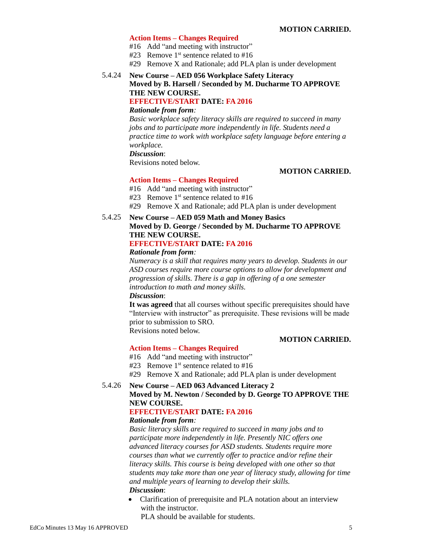#### **Action Items – Changes Required**

- #16 Add "and meeting with instructor"
- #23 Remove  $1<sup>st</sup>$  sentence related to #16
- #29 Remove X and Rationale; add PLA plan is under development

### 5.4.24 **New Course – AED 056 Workplace Safety Literacy Moved by B. Harsell / Seconded by M. Ducharme TO APPROVE THE NEW COURSE. EFFECTIVE/START DATE: FA 2016**

#### *Rationale from form:*

*Basic workplace safety literacy skills are required to succeed in many jobs and to participate more independently in life. Students need a practice time to work with workplace safety language before entering a workplace.*

#### *Discussion*:

Revisions noted below.

#### **MOTION CARRIED.**

# **Action Items – Changes Required**

- #16 Add "and meeting with instructor"
- #23 Remove  $1<sup>st</sup>$  sentence related to #16
- #29 Remove X and Rationale; add PLA plan is under development

#### 5.4.25 **New Course – AED 059 Math and Money Basics Moved by D. George / Seconded by M. Ducharme TO APPROVE THE NEW COURSE. EFFECTIVE/START DATE: FA 2016**

# *Rationale from form:*

*Numeracy is a skill that requires many years to develop. Students in our ASD courses require more course options to allow for development and progression of skills. There is a gap in offering of a one semester* 

*introduction to math and money skills.*

## *Discussion*:

**It was agreed** that all courses without specific prerequisites should have "Interview with instructor" as prerequisite. These revisions will be made prior to submission to SRO.

Revisions noted below.

#### **MOTION CARRIED.**

#### **Action Items – Changes Required**

- #16 Add "and meeting with instructor"
- #23 Remove  $1<sup>st</sup>$  sentence related to #16
- #29 Remove X and Rationale; add PLA plan is under development

#### 5.4.26 **New Course – AED 063 Advanced Literacy 2**

## **Moved by M. Newton / Seconded by D. George TO APPROVE THE NEW COURSE.**

#### **EFFECTIVE/START DATE: FA 2016**

#### *Rationale from form:*

*Basic literacy skills are required to succeed in many jobs and to participate more independently in life. Presently NIC offers one advanced literacy courses for ASD students. Students require more courses than what we currently offer to practice and/or refine their literacy skills. This course is being developed with one other so that students may take more than one year of literacy study, allowing for time and multiple years of learning to develop their skills. Discussion*:

 Clarification of prerequisite and PLA notation about an interview with the instructor.

PLA should be available for students.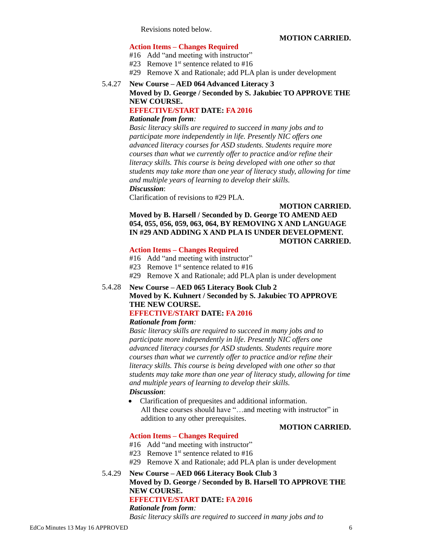Revisions noted below.

## **Action Items – Changes Required**

- #16 Add "and meeting with instructor"
- #23 Remove  $1<sup>st</sup>$  sentence related to #16
- #29 Remove X and Rationale; add PLA plan is under development

# 5.4.27 **New Course – AED 064 Advanced Literacy 3**

**Moved by D. George / Seconded by S. Jakubiec TO APPROVE THE NEW COURSE.**

# **EFFECTIVE/START DATE: FA 2016**

## *Rationale from form:*

*Basic literacy skills are required to succeed in many jobs and to participate more independently in life. Presently NIC offers one advanced literacy courses for ASD students. Students require more courses than what we currently offer to practice and/or refine their literacy skills. This course is being developed with one other so that students may take more than one year of literacy study, allowing for time and multiple years of learning to develop their skills. Discussion*:

Clarification of revisions to #29 PLA.

## **MOTION CARRIED. Moved by B. Harsell / Seconded by D. George TO AMEND AED 054, 055, 056, 059, 063, 064, BY REMOVING X AND LANGUAGE IN #29 AND ADDING X AND PLA IS UNDER DEVELOPMENT. MOTION CARRIED.**

# **Action Items – Changes Required**

- #16 Add "and meeting with instructor"
- #23 Remove  $1<sup>st</sup>$  sentence related to #16
- #29 Remove X and Rationale; add PLA plan is under development

#### 5.4.28 **New Course – AED 065 Literacy Book Club 2 Moved by K. Kuhnert / Seconded by S. Jakubiec TO APPROVE THE NEW COURSE. EFFECTIVE/START DATE: FA 2016**

## *Rationale from form:*

*Basic literacy skills are required to succeed in many jobs and to participate more independently in life. Presently NIC offers one advanced literacy courses for ASD students. Students require more courses than what we currently offer to practice and/or refine their literacy skills. This course is being developed with one other so that students may take more than one year of literacy study, allowing for time and multiple years of learning to develop their skills. Discussion*:

 Clarification of prequesites and additional information. All these courses should have "...and meeting with instructor" in addition to any other prerequisites.

#### **MOTION CARRIED.**

## **Action Items – Changes Required**

- #16 Add "and meeting with instructor"
- #23 Remove  $1<sup>st</sup>$  sentence related to #16
- #29 Remove X and Rationale; add PLA plan is under development

## 5.4.29 **New Course – AED 066 Literacy Book Club 3 Moved by D. George / Seconded by B. Harsell TO APPROVE THE NEW COURSE. EFFECTIVE/START DATE: FA 2016** *Rationale from form:*

*Basic literacy skills are required to succeed in many jobs and to*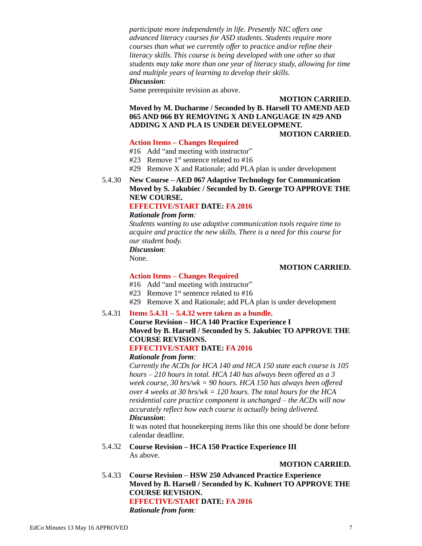*participate more independently in life. Presently NIC offers one advanced literacy courses for ASD students. Students require more courses than what we currently offer to practice and/or refine their literacy skills. This course is being developed with one other so that students may take more than one year of literacy study, allowing for time and multiple years of learning to develop their skills. Discussion*:

Same prerequisite revision as above.

**MOTION CARRIED.**

## **Moved by M. Ducharme / Seconded by B. Harsell TO AMEND AED 065 AND 066 BY REMOVING X AND LANGUAGE IN #29 AND ADDING X AND PLA IS UNDER DEVELOPMENT.**

**MOTION CARRIED.**

## **Action Items – Changes Required**

- #16 Add "and meeting with instructor"
- #23 Remove  $1<sup>st</sup>$  sentence related to #16
- #29 Remove X and Rationale; add PLA plan is under development
- 5.4.30 **New Course – AED 067 Adaptive Technology for Communication Moved by S. Jakubiec / Seconded by D. George TO APPROVE THE NEW COURSE.**

## **EFFECTIVE/START DATE: FA 2016**

### *Rationale from form:*

*Students wanting to use adaptive communication tools require time to acquire and practice the new skills. There is a need for this course for our student body. Discussion*: None.

### **MOTION CARRIED.**

## **Action Items – Changes Required**

- #16 Add "and meeting with instructor"
- #23 Remove  $1<sup>st</sup>$  sentence related to #16
- #29 Remove X and Rationale; add PLA plan is under development

## 5.4.31 **Items 5.4.31 – 5.4.32 were taken as a bundle.**

## **Course Revision – HCA 140 Practice Experience I Moved by B. Harsell / Seconded by S. Jakubiec TO APPROVE THE COURSE REVISIONS.**

## **EFFECTIVE/START DATE: FA 2016**

#### *Rationale from form:*

*Currently the ACDs for HCA 140 and HCA 150 state each course is 105 hours – 210 hours in total. HCA 140 has always been offered as a 3 week course, 30 hrs/wk = 90 hours. HCA 150 has always been offered over 4 weeks at 30 hrs/wk = 120 hours. The total hours for the HCA residential care practice component is unchanged – the ACDs will now accurately reflect how each course is actually being delivered. Discussion*:

It was noted that housekeeping items like this one should be done before calendar deadline.

5.4.32 **Course Revision – HCA 150 Practice Experience III** As above.

#### **MOTION CARRIED.**

5.4.33 **Course Revision – HSW 250 Advanced Practice Experience Moved by B. Harsell / Seconded by K. Kuhnert TO APPROVE THE COURSE REVISION. EFFECTIVE/START DATE: FA 2016** *Rationale from form:*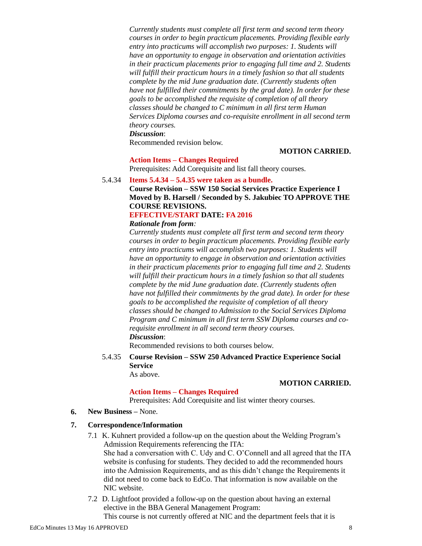*Currently students must complete all first term and second term theory courses in order to begin practicum placements. Providing flexible early entry into practicums will accomplish two purposes: 1. Students will have an opportunity to engage in observation and orientation activities in their practicum placements prior to engaging full time and 2. Students will fulfill their practicum hours in a timely fashion so that all students complete by the mid June graduation date. (Currently students often have not fulfilled their commitments by the grad date). In order for these goals to be accomplished the requisite of completion of all theory classes should be changed to C minimum in all first term Human Services Diploma courses and co-requisite enrollment in all second term theory courses.*

*Discussion*:

Recommended revision below.

#### **MOTION CARRIED.**

#### **Action Items – Changes Required**

Prerequisites: Add Corequisite and list fall theory courses.

#### 5.4.34 **Items 5.4.34 – 5.4.35 were taken as a bundle.**

**Course Revision – SSW 150 Social Services Practice Experience I Moved by B. Harsell / Seconded by S. Jakubiec TO APPROVE THE COURSE REVISIONS.**

## **EFFECTIVE/START DATE: FA 2016**

## *Rationale from form:*

*Currently students must complete all first term and second term theory courses in order to begin practicum placements. Providing flexible early entry into practicums will accomplish two purposes: 1. Students will have an opportunity to engage in observation and orientation activities in their practicum placements prior to engaging full time and 2. Students will fulfill their practicum hours in a timely fashion so that all students complete by the mid June graduation date. (Currently students often have not fulfilled their commitments by the grad date). In order for these goals to be accomplished the requisite of completion of all theory classes should be changed to Admission to the Social Services Diploma Program and C minimum in all first term SSW Diploma courses and corequisite enrollment in all second term theory courses. Discussion*:

Recommended revisions to both courses below.

## 5.4.35 **Course Revision – SSW 250 Advanced Practice Experience Social Service**

As above.

#### **MOTION CARRIED.**

# **Action Items – Changes Required**

Prerequisites: Add Corequisite and list winter theory courses.

**6. New Business –** None.

#### **7. Correspondence/Information**

- 7.1 K. Kuhnert provided a follow-up on the question about the Welding Program's Admission Requirements referencing the ITA: She had a conversation with C. Udy and C. O'Connell and all agreed that the ITA website is confusing for students. They decided to add the recommended hours into the Admission Requirements, and as this didn't change the Requirements it did not need to come back to EdCo. That information is now available on the NIC website.
- 7.2 D. Lightfoot provided a follow-up on the question about having an external elective in the BBA General Management Program:

This course is not currently offered at NIC and the department feels that it is